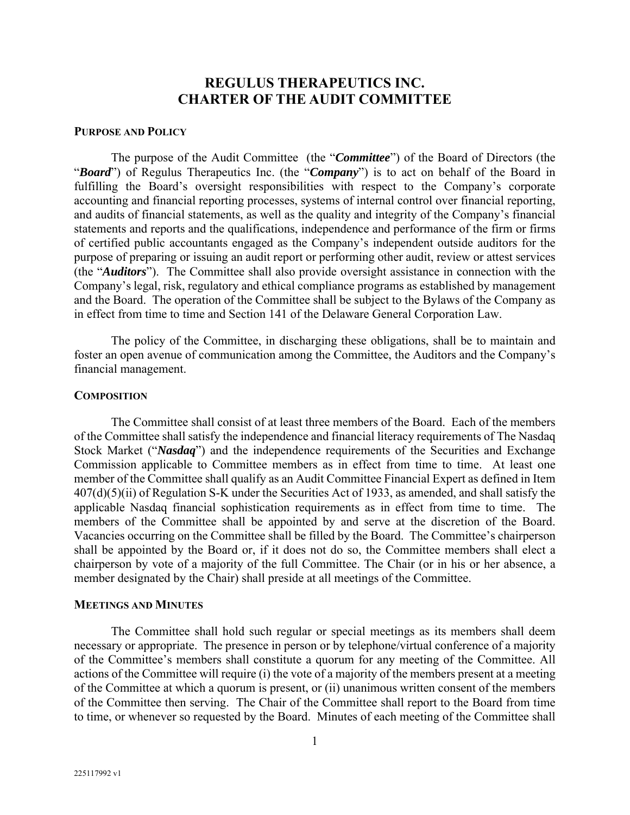# **REGULUS THERAPEUTICS INC. CHARTER OF THE AUDIT COMMITTEE**

#### **PURPOSE AND POLICY**

The purpose of the Audit Committee (the "*Committee*") of the Board of Directors (the "*Board*") of Regulus Therapeutics Inc. (the "*Company*") is to act on behalf of the Board in fulfilling the Board's oversight responsibilities with respect to the Company's corporate accounting and financial reporting processes, systems of internal control over financial reporting, and audits of financial statements, as well as the quality and integrity of the Company's financial statements and reports and the qualifications, independence and performance of the firm or firms of certified public accountants engaged as the Company's independent outside auditors for the purpose of preparing or issuing an audit report or performing other audit, review or attest services (the "*Auditors*"). The Committee shall also provide oversight assistance in connection with the Company's legal, risk, regulatory and ethical compliance programs as established by management and the Board. The operation of the Committee shall be subject to the Bylaws of the Company as in effect from time to time and Section 141 of the Delaware General Corporation Law.

The policy of the Committee, in discharging these obligations, shall be to maintain and foster an open avenue of communication among the Committee, the Auditors and the Company's financial management.

### **COMPOSITION**

The Committee shall consist of at least three members of the Board. Each of the members of the Committee shall satisfy the independence and financial literacy requirements of The Nasdaq Stock Market ("*Nasdaq*") and the independence requirements of the Securities and Exchange Commission applicable to Committee members as in effect from time to time. At least one member of the Committee shall qualify as an Audit Committee Financial Expert as defined in Item 407(d)(5)(ii) of Regulation S-K under the Securities Act of 1933, as amended, and shall satisfy the applicable Nasdaq financial sophistication requirements as in effect from time to time. The members of the Committee shall be appointed by and serve at the discretion of the Board. Vacancies occurring on the Committee shall be filled by the Board. The Committee's chairperson shall be appointed by the Board or, if it does not do so, the Committee members shall elect a chairperson by vote of a majority of the full Committee. The Chair (or in his or her absence, a member designated by the Chair) shall preside at all meetings of the Committee.

### **MEETINGS AND MINUTES**

The Committee shall hold such regular or special meetings as its members shall deem necessary or appropriate. The presence in person or by telephone/virtual conference of a majority of the Committee's members shall constitute a quorum for any meeting of the Committee. All actions of the Committee will require (i) the vote of a majority of the members present at a meeting of the Committee at which a quorum is present, or (ii) unanimous written consent of the members of the Committee then serving. The Chair of the Committee shall report to the Board from time to time, or whenever so requested by the Board. Minutes of each meeting of the Committee shall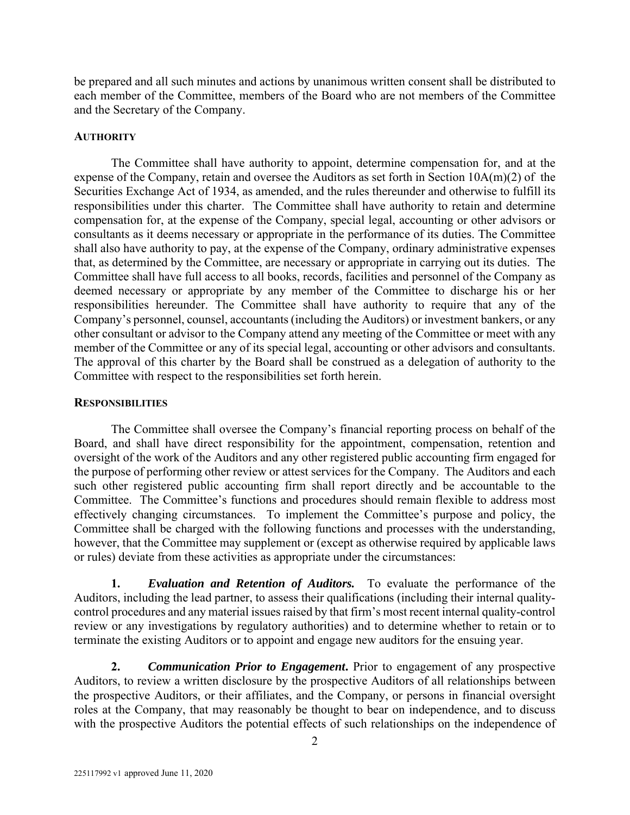be prepared and all such minutes and actions by unanimous written consent shall be distributed to each member of the Committee, members of the Board who are not members of the Committee and the Secretary of the Company.

## **AUTHORITY**

The Committee shall have authority to appoint, determine compensation for, and at the expense of the Company, retain and oversee the Auditors as set forth in Section 10A(m)(2) of the Securities Exchange Act of 1934, as amended, and the rules thereunder and otherwise to fulfill its responsibilities under this charter. The Committee shall have authority to retain and determine compensation for, at the expense of the Company, special legal, accounting or other advisors or consultants as it deems necessary or appropriate in the performance of its duties. The Committee shall also have authority to pay, at the expense of the Company, ordinary administrative expenses that, as determined by the Committee, are necessary or appropriate in carrying out its duties. The Committee shall have full access to all books, records, facilities and personnel of the Company as deemed necessary or appropriate by any member of the Committee to discharge his or her responsibilities hereunder. The Committee shall have authority to require that any of the Company's personnel, counsel, accountants (including the Auditors) or investment bankers, or any other consultant or advisor to the Company attend any meeting of the Committee or meet with any member of the Committee or any of its special legal, accounting or other advisors and consultants. The approval of this charter by the Board shall be construed as a delegation of authority to the Committee with respect to the responsibilities set forth herein.

### **RESPONSIBILITIES**

The Committee shall oversee the Company's financial reporting process on behalf of the Board, and shall have direct responsibility for the appointment, compensation, retention and oversight of the work of the Auditors and any other registered public accounting firm engaged for the purpose of performing other review or attest services for the Company. The Auditors and each such other registered public accounting firm shall report directly and be accountable to the Committee. The Committee's functions and procedures should remain flexible to address most effectively changing circumstances. To implement the Committee's purpose and policy, the Committee shall be charged with the following functions and processes with the understanding, however, that the Committee may supplement or (except as otherwise required by applicable laws or rules) deviate from these activities as appropriate under the circumstances:

**1.** *Evaluation and Retention of Auditors.* To evaluate the performance of the Auditors, including the lead partner, to assess their qualifications (including their internal qualitycontrol procedures and any material issues raised by that firm's most recent internal quality-control review or any investigations by regulatory authorities) and to determine whether to retain or to terminate the existing Auditors or to appoint and engage new auditors for the ensuing year.

**2.** *Communication Prior to Engagement***.** Prior to engagement of any prospective Auditors, to review a written disclosure by the prospective Auditors of all relationships between the prospective Auditors, or their affiliates, and the Company, or persons in financial oversight roles at the Company, that may reasonably be thought to bear on independence, and to discuss with the prospective Auditors the potential effects of such relationships on the independence of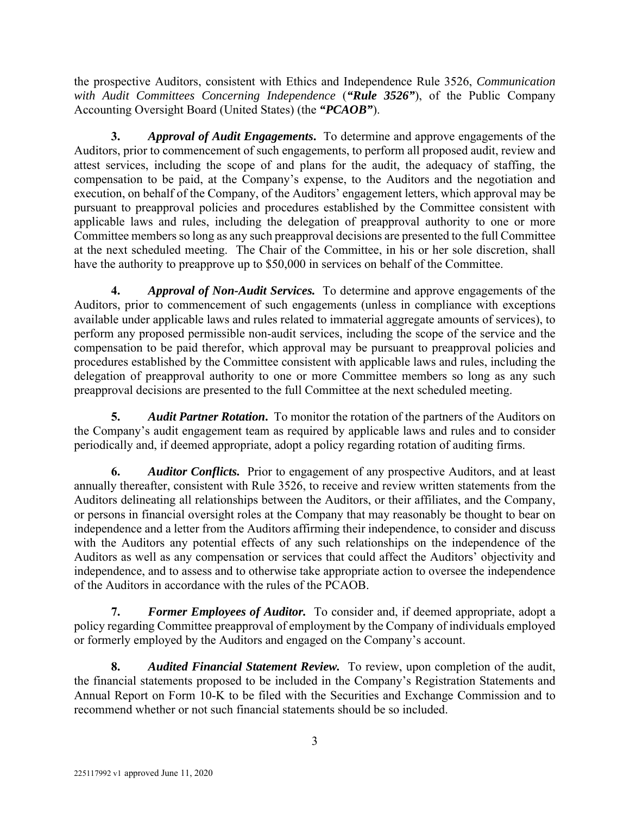the prospective Auditors, consistent with Ethics and Independence Rule 3526, *Communication with Audit Committees Concerning Independence* (*"Rule 3526"*), of the Public Company Accounting Oversight Board (United States) (the *"PCAOB"*).

**3.** *Approval of Audit Engagements***.** To determine and approve engagements of the Auditors, prior to commencement of such engagements, to perform all proposed audit, review and attest services, including the scope of and plans for the audit, the adequacy of staffing, the compensation to be paid, at the Company's expense, to the Auditors and the negotiation and execution, on behalf of the Company, of the Auditors' engagement letters, which approval may be pursuant to preapproval policies and procedures established by the Committee consistent with applicable laws and rules, including the delegation of preapproval authority to one or more Committee members so long as any such preapproval decisions are presented to the full Committee at the next scheduled meeting. The Chair of the Committee, in his or her sole discretion, shall have the authority to preapprove up to \$50,000 in services on behalf of the Committee.

**4.** *Approval of Non-Audit Services.* To determine and approve engagements of the Auditors, prior to commencement of such engagements (unless in compliance with exceptions available under applicable laws and rules related to immaterial aggregate amounts of services), to perform any proposed permissible non-audit services, including the scope of the service and the compensation to be paid therefor, which approval may be pursuant to preapproval policies and procedures established by the Committee consistent with applicable laws and rules, including the delegation of preapproval authority to one or more Committee members so long as any such preapproval decisions are presented to the full Committee at the next scheduled meeting.

**5.** *Audit Partner Rotation***.** To monitor the rotation of the partners of the Auditors on the Company's audit engagement team as required by applicable laws and rules and to consider periodically and, if deemed appropriate, adopt a policy regarding rotation of auditing firms.

**6.** *Auditor Conflicts.* Prior to engagement of any prospective Auditors, and at least annually thereafter, consistent with Rule 3526, to receive and review written statements from the Auditors delineating all relationships between the Auditors, or their affiliates, and the Company, or persons in financial oversight roles at the Company that may reasonably be thought to bear on independence and a letter from the Auditors affirming their independence, to consider and discuss with the Auditors any potential effects of any such relationships on the independence of the Auditors as well as any compensation or services that could affect the Auditors' objectivity and independence, and to assess and to otherwise take appropriate action to oversee the independence of the Auditors in accordance with the rules of the PCAOB.

**7.** *Former Employees of Auditor.* To consider and, if deemed appropriate, adopt a policy regarding Committee preapproval of employment by the Company of individuals employed or formerly employed by the Auditors and engaged on the Company's account.

**8.** *Audited Financial Statement Review.* To review, upon completion of the audit, the financial statements proposed to be included in the Company's Registration Statements and Annual Report on Form 10-K to be filed with the Securities and Exchange Commission and to recommend whether or not such financial statements should be so included.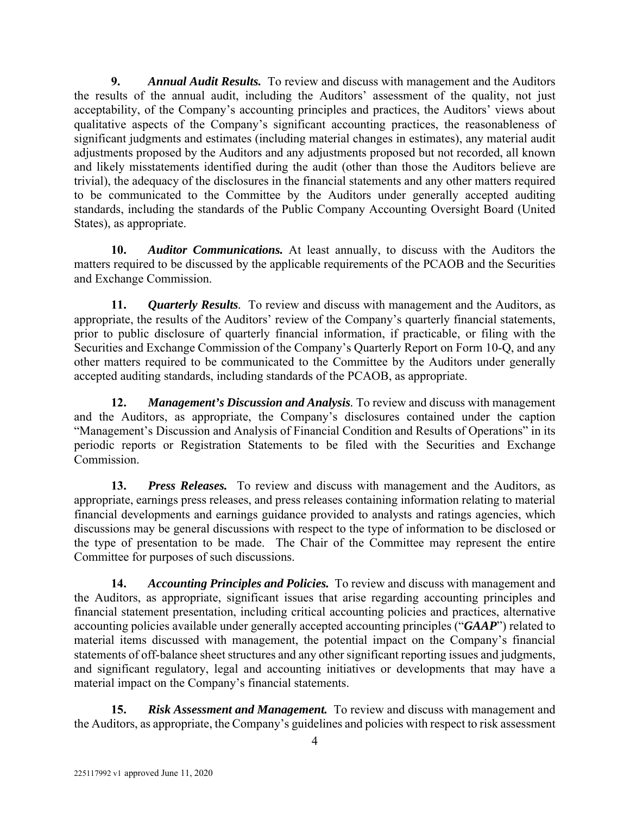**9.** *Annual Audit Results.* To review and discuss with management and the Auditors the results of the annual audit, including the Auditors' assessment of the quality, not just acceptability, of the Company's accounting principles and practices, the Auditors' views about qualitative aspects of the Company's significant accounting practices, the reasonableness of significant judgments and estimates (including material changes in estimates), any material audit adjustments proposed by the Auditors and any adjustments proposed but not recorded, all known and likely misstatements identified during the audit (other than those the Auditors believe are trivial), the adequacy of the disclosures in the financial statements and any other matters required to be communicated to the Committee by the Auditors under generally accepted auditing standards, including the standards of the Public Company Accounting Oversight Board (United States), as appropriate.

**10.** *Auditor Communications.* At least annually, to discuss with the Auditors the matters required to be discussed by the applicable requirements of the PCAOB and the Securities and Exchange Commission.

**11.** *Quarterly Results.* To review and discuss with management and the Auditors, as appropriate, the results of the Auditors' review of the Company's quarterly financial statements, prior to public disclosure of quarterly financial information, if practicable, or filing with the Securities and Exchange Commission of the Company's Quarterly Report on Form 10-Q, and any other matters required to be communicated to the Committee by the Auditors under generally accepted auditing standards, including standards of the PCAOB, as appropriate.

**12.** *Management's Discussion and Analysis.* To review and discuss with management and the Auditors, as appropriate, the Company's disclosures contained under the caption "Management's Discussion and Analysis of Financial Condition and Results of Operations" in its periodic reports or Registration Statements to be filed with the Securities and Exchange Commission.

**13.** *Press Releases.* To review and discuss with management and the Auditors, as appropriate, earnings press releases, and press releases containing information relating to material financial developments and earnings guidance provided to analysts and ratings agencies, which discussions may be general discussions with respect to the type of information to be disclosed or the type of presentation to be made. The Chair of the Committee may represent the entire Committee for purposes of such discussions.

**14.** *Accounting Principles and Policies.* To review and discuss with management and the Auditors, as appropriate, significant issues that arise regarding accounting principles and financial statement presentation, including critical accounting policies and practices, alternative accounting policies available under generally accepted accounting principles ("*GAAP*") related to material items discussed with management, the potential impact on the Company's financial statements of off-balance sheet structures and any other significant reporting issues and judgments, and significant regulatory, legal and accounting initiatives or developments that may have a material impact on the Company's financial statements.

**15.** *Risk Assessment and Management.* To review and discuss with management and the Auditors, as appropriate, the Company's guidelines and policies with respect to risk assessment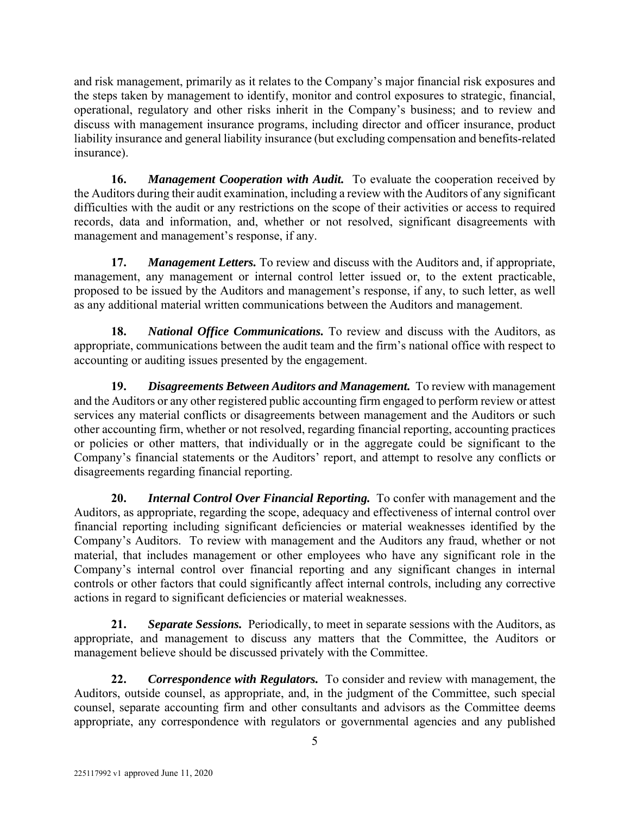and risk management, primarily as it relates to the Company's major financial risk exposures and the steps taken by management to identify, monitor and control exposures to strategic, financial, operational, regulatory and other risks inherit in the Company's business; and to review and discuss with management insurance programs, including director and officer insurance, product liability insurance and general liability insurance (but excluding compensation and benefits-related insurance).

**16.** *Management Cooperation with Audit.* To evaluate the cooperation received by the Auditors during their audit examination, including a review with the Auditors of any significant difficulties with the audit or any restrictions on the scope of their activities or access to required records, data and information, and, whether or not resolved, significant disagreements with management and management's response, if any.

**17.** *Management Letters.* To review and discuss with the Auditors and, if appropriate, management, any management or internal control letter issued or, to the extent practicable, proposed to be issued by the Auditors and management's response, if any, to such letter, as well as any additional material written communications between the Auditors and management.

**18.** *National Office Communications.* To review and discuss with the Auditors, as appropriate, communications between the audit team and the firm's national office with respect to accounting or auditing issues presented by the engagement.

**19.** *Disagreements Between Auditors and Management.* To review with management and the Auditors or any other registered public accounting firm engaged to perform review or attest services any material conflicts or disagreements between management and the Auditors or such other accounting firm, whether or not resolved, regarding financial reporting, accounting practices or policies or other matters, that individually or in the aggregate could be significant to the Company's financial statements or the Auditors' report, and attempt to resolve any conflicts or disagreements regarding financial reporting.

**20.** *Internal Control Over Financial Reporting.* To confer with management and the Auditors, as appropriate, regarding the scope, adequacy and effectiveness of internal control over financial reporting including significant deficiencies or material weaknesses identified by the Company's Auditors. To review with management and the Auditors any fraud, whether or not material, that includes management or other employees who have any significant role in the Company's internal control over financial reporting and any significant changes in internal controls or other factors that could significantly affect internal controls, including any corrective actions in regard to significant deficiencies or material weaknesses.

**21.** *Separate Sessions.* Periodically, to meet in separate sessions with the Auditors, as appropriate, and management to discuss any matters that the Committee, the Auditors or management believe should be discussed privately with the Committee.

**22.** *Correspondence with Regulators.* To consider and review with management, the Auditors, outside counsel, as appropriate, and, in the judgment of the Committee, such special counsel, separate accounting firm and other consultants and advisors as the Committee deems appropriate, any correspondence with regulators or governmental agencies and any published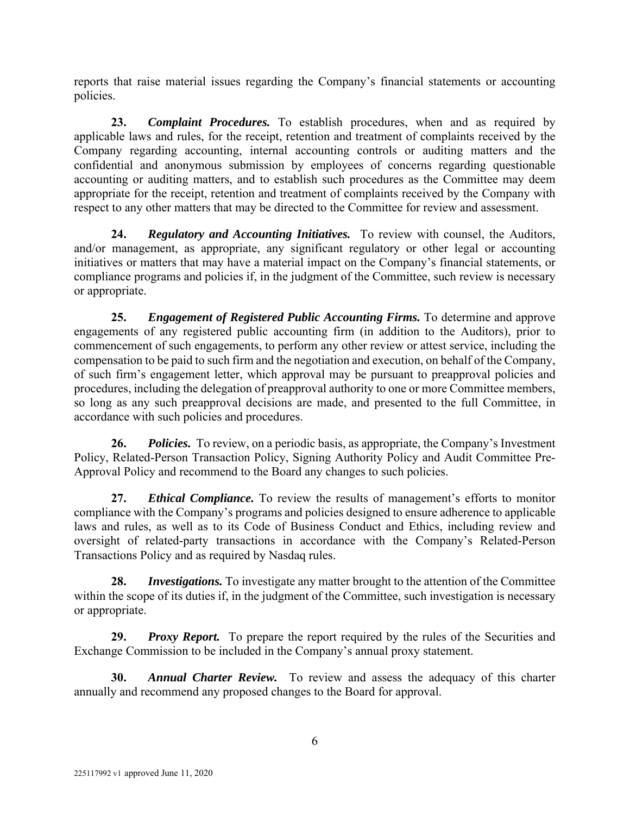reports that raise material issues regarding the Company's financial statements or accounting policies.

**23.** *Complaint Procedures.* To establish procedures, when and as required by applicable laws and rules, for the receipt, retention and treatment of complaints received by the Company regarding accounting, internal accounting controls or auditing matters and the confidential and anonymous submission by employees of concerns regarding questionable accounting or auditing matters, and to establish such procedures as the Committee may deem appropriate for the receipt, retention and treatment of complaints received by the Company with respect to any other matters that may be directed to the Committee for review and assessment.

**24.** *Regulatory and Accounting Initiatives.* To review with counsel, the Auditors, and/or management, as appropriate, any significant regulatory or other legal or accounting initiatives or matters that may have a material impact on the Company's financial statements, or compliance programs and policies if, in the judgment of the Committee, such review is necessary or appropriate.

**25.** *Engagement of Registered Public Accounting Firms.* To determine and approve engagements of any registered public accounting firm (in addition to the Auditors), prior to commencement of such engagements, to perform any other review or attest service, including the compensation to be paid to such firm and the negotiation and execution, on behalf of the Company, of such firm's engagement letter, which approval may be pursuant to preapproval policies and procedures, including the delegation of preapproval authority to one or more Committee members, so long as any such preapproval decisions are made, and presented to the full Committee, in accordance with such policies and procedures.

**26.** *Policies.* To review, on a periodic basis, as appropriate, the Company's Investment Policy, Related-Person Transaction Policy, Signing Authority Policy and Audit Committee Pre-Approval Policy and recommend to the Board any changes to such policies.

**27.** *Ethical Compliance.* To review the results of management's efforts to monitor compliance with the Company's programs and policies designed to ensure adherence to applicable laws and rules, as well as to its Code of Business Conduct and Ethics, including review and oversight of related-party transactions in accordance with the Company's Related-Person Transactions Policy and as required by Nasdaq rules.

**28.** *Investigations.* To investigate any matter brought to the attention of the Committee within the scope of its duties if, in the judgment of the Committee, such investigation is necessary or appropriate.

**29.** *Proxy Report.* To prepare the report required by the rules of the Securities and Exchange Commission to be included in the Company's annual proxy statement.

**30.** *Annual Charter Review.* To review and assess the adequacy of this charter annually and recommend any proposed changes to the Board for approval.